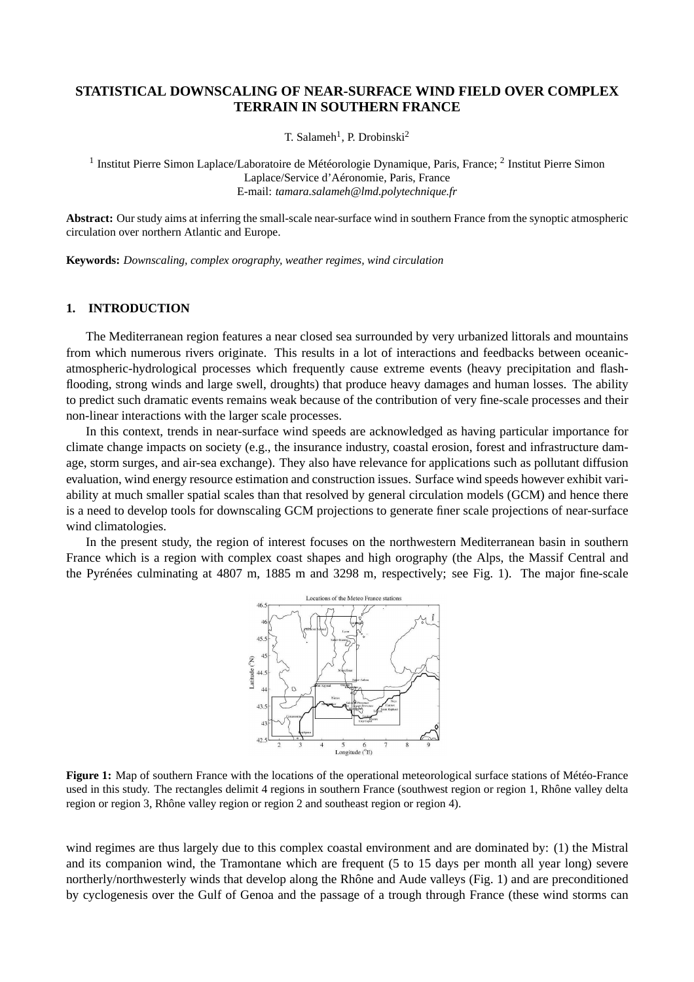# **STATISTICAL DOWNSCALING OF NEAR-SURFACE WIND FIELD OVER COMPLEX TERRAIN IN SOUTHERN FRANCE**

T. Salameh<sup>1</sup>, P. Drobinski<sup>2</sup>

<sup>1</sup> Institut Pierre Simon Laplace/Laboratoire de Météorologie Dynamique, Paris, France; <sup>2</sup> Institut Pierre Simon Laplace/Service d'Aéronomie, Paris, France E-mail: *tamara.salameh@lmd.polytechnique.fr*

**Abstract:** Our study aims at inferring the small-scale near-surface wind in southern France from the synoptic atmospheric circulation over northern Atlantic and Europe.

**Keywords:** *Downscaling, complex orography, weather regimes, wind circulation*

#### **1. INTRODUCTION**

The Mediterranean region features a near closed sea surrounded by very urbanized littorals and mountains from which numerous rivers originate. This results in a lot of interactions and feedbacks between oceanicatmospheric-hydrological processes which frequently cause extreme events (heavy precipitation and flashflooding, strong winds and large swell, droughts) that produce heavy damages and human losses. The ability to predict such dramatic events remains weak because of the contribution of very fine-scale processes and their non-linear interactions with the larger scale processes.

In this context, trends in near-surface wind speeds are acknowledged as having particular importance for climate change impacts on society (e.g., the insurance industry, coastal erosion, forest and infrastructure damage, storm surges, and air-sea exchange). They also have relevance for applications such as pollutant diffusion evaluation, wind energy resource estimation and construction issues. Surface wind speeds however exhibit variability at much smaller spatial scales than that resolved by general circulation models (GCM) and hence there is a need to develop tools for downscaling GCM projections to generate finer scale projections of near-surface wind climatologies.

In the present study, the region of interest focuses on the northwestern Mediterranean basin in southern France which is a region with complex coast shapes and high orography (the Alps, the Massif Central and the Pyrénées culminating at 4807 m, 1885 m and 3298 m, respectively; see Fig. 1). The major fine-scale



**Figure 1:** Map of southern France with the locations of the operational meteorological surface stations of Météo-France used in this study. The rectangles delimit 4 regions in southern France (southwest region or region 1, Rhône valley delta region or region 3, Rhône valley region or region 2 and southeast region or region 4).

wind regimes are thus largely due to this complex coastal environment and are dominated by: (1) the Mistral and its companion wind, the Tramontane which are frequent (5 to 15 days per month all year long) severe northerly/northwesterly winds that develop along the Rhône and Aude valleys (Fig. 1) and are preconditioned by cyclogenesis over the Gulf of Genoa and the passage of a trough through France (these wind storms can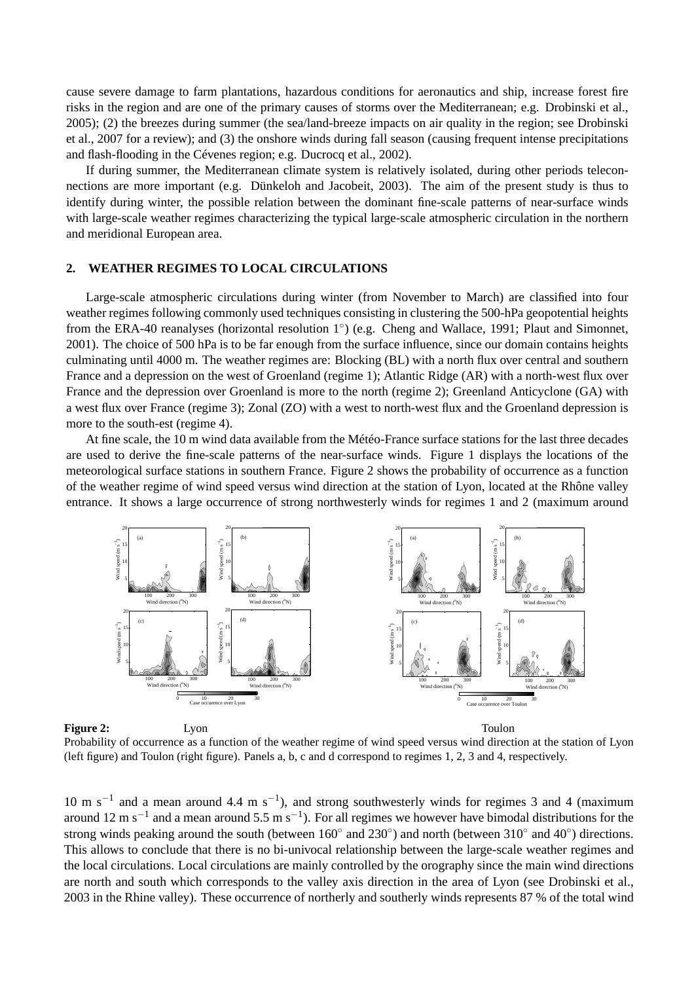cause severe damage to farm plantations, hazardous conditions for aeronautics and ship, increase forest fire risks in the region and are one of the primary causes of storms over the Mediterranean; e.g. Drobinski et al., 2005); (2) the breezes during summer (the sea/land-breeze impacts on air quality in the region; see Drobinski et al., 2007 for a review); and (3) the onshore winds during fall season (causing frequent intense precipitations and flash-flooding in the Cévenes region; e.g. Ducrocq et al., 2002).

If during summer, the Mediterranean climate system is relatively isolated, during other periods teleconnections are more important (e.g. Dünkeloh and Jacobeit, 2003). The aim of the present study is thus to identify during winter, the possible relation between the dominant fine-scale patterns of near-surface winds with large-scale weather regimes characterizing the typical large-scale atmospheric circulation in the northern and meridional European area.

## **2. WEATHER REGIMES TO LOCAL CIRCULATIONS**

Large-scale atmospheric circulations during winter (from November to March) are classified into four weather regimes following commonly used techniques consisting in clustering the 500-hPa geopotential heights from the ERA-40 reanalyses (horizontal resolution 1<sup>°</sup>) (e.g. Cheng and Wallace, 1991; Plaut and Simonnet, 2001). The choice of 500 hPa is to be far enough from the surface influence, since our domain contains heights culminating until 4000 m. The weather regimes are: Blocking (BL) with a north flux over central and southern France and a depression on the west of Groenland (regime 1); Atlantic Ridge (AR) with a north-west flux over France and the depression over Groenland is more to the north (regime 2); Greenland Anticyclone (GA) with a west flux over France (regime 3); Zonal (ZO) with a west to north-west flux and the Groenland depression is more to the south-est (regime 4).

At fine scale, the 10 m wind data available from the Météo-France surface stations for the last three decades are used to derive the fine-scale patterns of the near-surface winds. Figure 1 displays the locations of the meteorological surface stations in southern France. Figure 2 shows the probability of occurrence as a function of the weather regime of wind speed versus wind direction at the station of Lyon, located at the Rhône valley entrance. It shows a large occurrence of strong northwesterly winds for regimes 1 and 2 (maximum around



**Figure 2:** Lyon Lyon **Toulon** 

Probability of occurrence as a function of the weather regime of wind speed versus wind direction at the station of Lyon (left figure) and Toulon (right figure). Panels a, b, c and d correspond to regimes 1, 2, 3 and 4, respectively.

10 m s<sup>-1</sup> and a mean around 4.4 m s<sup>-1</sup>), and strong southwesterly winds for regimes 3 and 4 (maximum around 12 m s<sup>-1</sup> and a mean around 5.5 m s<sup>-1</sup>). For all regimes we however have bimodal distributions for the strong winds peaking around the south (between  $160^\circ$  and  $230^\circ$ ) and north (between  $310^\circ$  and  $40^\circ$ ) directions. This allows to conclude that there is no bi-univocal relationship between the large-scale weather regimes and the local circulations. Local circulations are mainly controlled by the orography since the main wind directions are north and south which corresponds to the valley axis direction in the area of Lyon (see Drobinski et al., 2003 in the Rhine valley). These occurrence of northerly and southerly winds represents 87 % of the total wind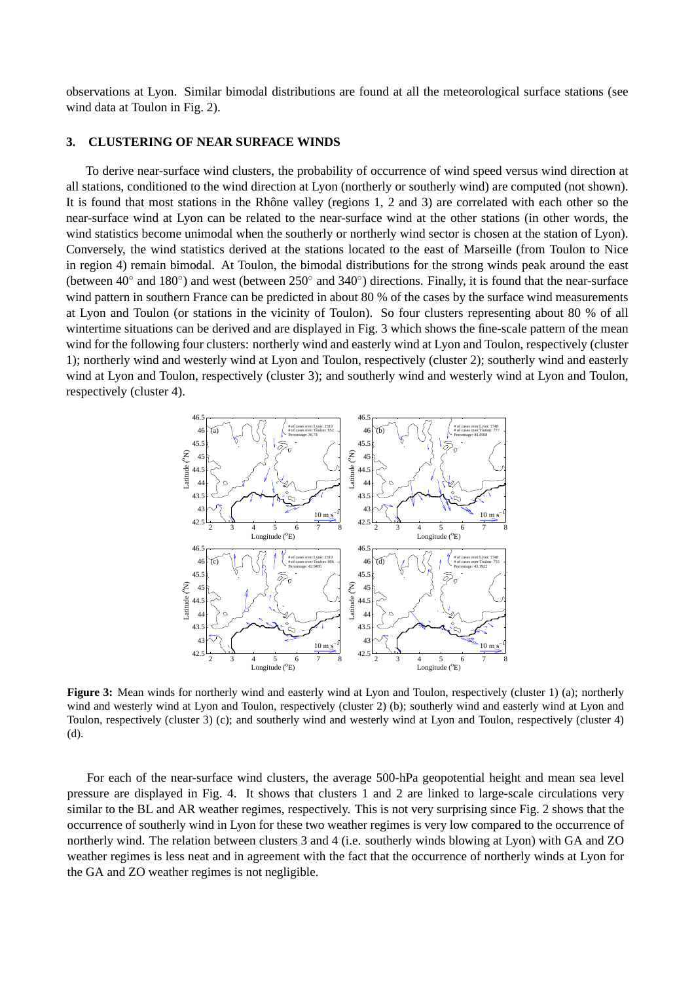observations at Lyon. Similar bimodal distributions are found at all the meteorological surface stations (see wind data at Toulon in Fig. 2).

### **3. CLUSTERING OF NEAR SURFACE WINDS**

To derive near-surface wind clusters, the probability of occurrence of wind speed versus wind direction at all stations, conditioned to the wind direction at Lyon (northerly or southerly wind) are computed (not shown). It is found that most stations in the Rhône valley (regions 1, 2 and 3) are correlated with each other so the near-surface wind at Lyon can be related to the near-surface wind at the other stations (in other words, the wind statistics become unimodal when the southerly or northerly wind sector is chosen at the station of Lyon). Conversely, the wind statistics derived at the stations located to the east of Marseille (from Toulon to Nice in region 4) remain bimodal. At Toulon, the bimodal distributions for the strong winds peak around the east (between  $40^\circ$  and  $180^\circ$ ) and west (between  $250^\circ$  and  $340^\circ$ ) directions. Finally, it is found that the near-surface wind pattern in southern France can be predicted in about 80 % of the cases by the surface wind measurements at Lyon and Toulon (or stations in the vicinity of Toulon). So four clusters representing about 80 % of all wintertime situations can be derived and are displayed in Fig. 3 which shows the fine-scale pattern of the mean wind for the following four clusters: northerly wind and easterly wind at Lyon and Toulon, respectively (cluster 1); northerly wind and westerly wind at Lyon and Toulon, respectively (cluster 2); southerly wind and easterly wind at Lyon and Toulon, respectively (cluster 3); and southerly wind and westerly wind at Lyon and Toulon, respectively (cluster 4).



**Figure 3:** Mean winds for northerly wind and easterly wind at Lyon and Toulon, respectively (cluster 1) (a); northerly wind and westerly wind at Lyon and Toulon, respectively (cluster 2) (b); southerly wind and easterly wind at Lyon and Toulon, respectively (cluster 3) (c); and southerly wind and westerly wind at Lyon and Toulon, respectively (cluster 4) (d).

For each of the near-surface wind clusters, the average 500-hPa geopotential height and mean sea level pressure are displayed in Fig. 4. It shows that clusters 1 and 2 are linked to large-scale circulations very similar to the BL and AR weather regimes, respectively. This is not very surprising since Fig. 2 shows that the occurrence of southerly wind in Lyon for these two weather regimes is very low compared to the occurrence of northerly wind. The relation between clusters 3 and 4 (i.e. southerly winds blowing at Lyon) with GA and ZO weather regimes is less neat and in agreement with the fact that the occurrence of northerly winds at Lyon for the GA and ZO weather regimes is not negligible.